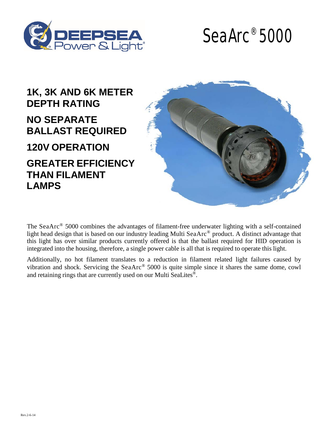



## **1K, 3K AND 6K METER DEPTH RATING NO SEPARATE BALLAST REQUIRED**

**120V OPERATION**

**GREATER EFFICIENCY THAN FILAMENT LAMPS**



The SeaArc<sup>®</sup> 5000 combines the advantages of filament-free underwater lighting with a self-contained light head design that is based on our industry leading Multi SeaArc® product. A distinct advantage that this light has over similar products currently offered is that the ballast required for HID operation is integrated into the housing, therefore, a single power cable is all that is required to operate this light.

Additionally, no hot filament translates to a reduction in filament related light failures caused by vibration and shock. Servicing the SeaArc® 5000 is quite simple since it shares the same dome, cowl and retaining rings that are currently used on our Multi SeaLites®.